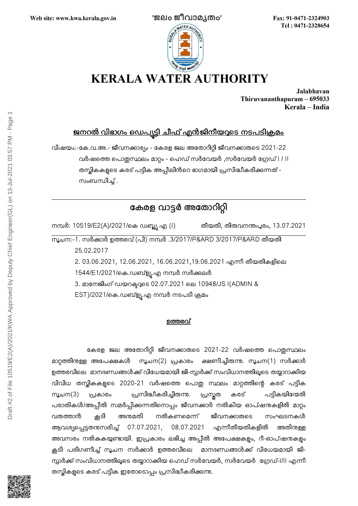

Fax: 91-0471-2324903 Tel: 0471-2328654

Jalabhavan Thiruvananthapuram - 695033 Kerala - India

## <u>ജനറൽ വിഭാഗം ഡെപ്യട്ടി ചീഫ് എൻജിനീയറുടെ നടപടിക്രമം</u>

വിഷയം:-കേ.വ.അ.- ജീവനക്കാര്യം - കേരള ജല അതോറിറ്റി ജീവനക്കാരുടെ 2021-22 വർഷത്തെ പൊതുസ്ഥലം മാറ്റം - ഹെഡ് സർവേയർ ,സർവേയർ ഗ്രേഡ് I / II തസ്കികകളുടെ കരട് പട്ടിക അപ്പീലിൻറെ ഭാഗമായി പ്രസിദ്ധീകരിക്കുന്നത് -സംബന്ധിച്ച് .

## കേരള വാട്ടർ അതോറിറ്റി

നമ്പർ: 10519/E2(A)/2021/കെ ഡബ്ല്യു എ (I) തീയതി, തിരുവനന്തപുരം, 13.07.2021

സൂചന:-1. സർക്കാർ ഉത്തരവ് (പി) നമ്പർ .3/2017/P&ARD 3/2017/P&ARD തീയതി 25.02.2017

2. 03.06.2021, 12.06.2021, 16.06.2021,19.06.2021 എന്നീ തീയതികളിലെ

1544/L1/2021/കെ.ഡബ്ള്യൂ.എ നമ്പർ സർക്കുലർ

3. മാനേജിംഗ് ഡയറക്ടറുടെ 02.07.2021 ലെ 10948/JS I(ADMIN &

EST)/2021/കെ.ഡബ്ള്യൂ.എ നമ്പർ നടപടി ക്രമം

## ഉത്തരവ്

കേരള ജല അതോറിറ്റി ജീവനക്കാരുടെ 2021-22 വർഷത്തെ പൊതുസ്ഥലം മാറ്റത്തിനുള്ള അപേക്ഷകൾ സൂചന(2) പ്രകാരം ക്ഷണിച്ചിരുന്നു. സൂചന(1) സർക്കാർ ഉത്തരവിലെ മാനദണ്ഡങ്ങൾക്ക് വിധേയമായി ജി-സ്റ്റാർക്ക് സംവിധാനത്തിലൂടെ തയ്യാറാക്കിയ വിവിധ തസ്കികകളുടെ 2020-21 വർഷത്തെ പൊതു സ്ഥലം മാറ്റത്തിന്റെ കരട് പട്ടിക സൂചന(3) പ്രകാരം പ്രസിദ്ധീകരിച്ചിരുന്നു. പ്രസ്തത കരട് പട്ടികയിന്മേൽ പരാതികൾ/അപ്പീൽ സമർപ്പിക്കുന്നതിനൊപ്പം ജീവനക്കാർ നൽകിയ ഓപ്ഷനുകളിൽ മാറ്റം വരുത്താൻ കൂടി അന്മമതി നൽകണമെന്ന് ജീവനക്കാരുടെ സംഘടനകൾ ആവശ്യപ്പെട്ടതനുസരിച്ച് 07.07.2021, 08.07.2021 എന്നീതീയതികളിൽ അതിനുള്ള അവസരം നൽകുകയുണ്ടായി. ഇപ്രകാരം ലഭിച്ച അപ്പീൽ അപേക്ഷകളം, റീ-ഓപ്ഷനുകളം കൂടി പരിഗണിച്ച് സൂചന സർക്കാർ ഉത്തരവിലെ മാനദണ്ഡങ്ങൾക്ക് വിധേയമായി ജി-സ്പാർക്ക് സംവിധാനത്തിലൂടെ തയ്യാറാക്കിയ ഹെഡ് സർവേയർ, സർവേയർ ശ്രേഡ്-I/II എന്നീ തസ്കികളുടെ കരട് പട്ടിക ഇതോടൊപ്പം പ്രസിദ്ധീകരിക്കുന്നു.

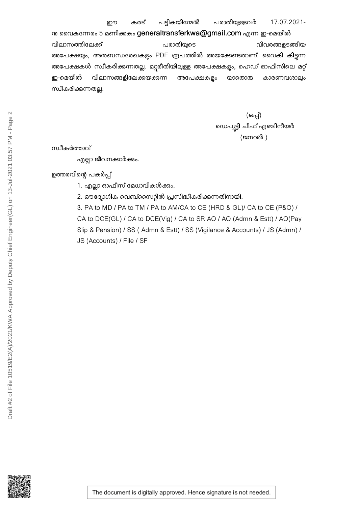നു വൈകന്നേരം 5 മണിക്കകം generaltransferkwa@gmail.com എന്ന ഇ-മെയിൽ വിലാസത്തിലേക്ക് പരാതിയുടെ വിവരങ്ങളടങ്ങിയ അപേക്ഷയും, അനുബന്ധരേഖകളും PDF രൂപത്തിൽ അയക്കേണ്ടതാണ്. വൈകി കിട്ടന്ന അപേക്ഷകൾ സ്ഥീകരിക്കന്നതല്ല. മറ്റരീതിയിലുള്ള അപേക്ഷകളും, ഹെഡ് ഓഫീസിലെ മറ്റ് ഇ-മെയിൽ വിലാസങ്ങളിലേക്കയക്കന്ന അപേക്ഷകളും യാതൊരു കാരണവശാലും സ്വീകരിക്കുന്നതല്ല.

> (ഒപ്പ്) ഡെപ്യട്ടി ചീഫ് എഞ്ചിനീയർ (ജനറൽ )

സ്ഥീകർത്താവ്

എല്ലാ ജീവനക്കാർക്കും.

ഉത്തരവിന്റെ പകർപ്പ്

1. എല്ലാ ഓഫീസ് മേധാവികൾക്കം.

2. ഔദ്യോഗിക വെബ്സൈറ്റിൽ പ്രസിദ്ധീകരിക്കുന്നതിനായി.

3. PA to MD / PA to TM / PA to AM/CA to CE (HRD & GL)/ CA to CE (P&O) / CA to DCE(GL) / CA to DCE(Vig) / CA to SR AO / AO (Admn & Estt) / AO(Pay Slip & Pension) / SS ( Admn & Estt) / SS (Vigilance & Accounts) / JS (Admn) / JS (Accounts) / File / SF



The document is digitally approved. Hence signature is not needed.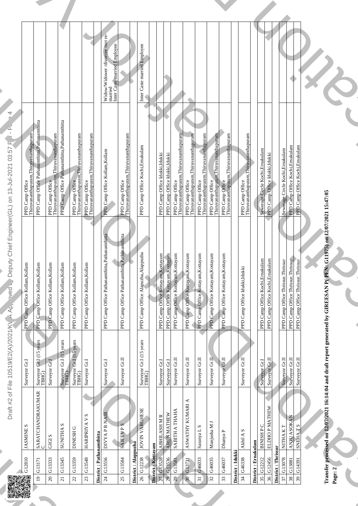|  | <b>Contract Contract Contract Contract</b><br><del>.</del><br><del>▔▟▐▐▖▏▕<i>▊</i>▔▏▕▊▔▏▏</del>                                                                                                                                                                                                                                                                                                                                                                                                                                                                                                                                                                                                                                                |  |
|--|------------------------------------------------------------------------------------------------------------------------------------------------------------------------------------------------------------------------------------------------------------------------------------------------------------------------------------------------------------------------------------------------------------------------------------------------------------------------------------------------------------------------------------------------------------------------------------------------------------------------------------------------------------------------------------------------------------------------------------------------|--|
|  | PPD Camp Office<br>Thinvanamihighuram, Thinvan<br>PPD Camp Office Pathalam<br>PPD Camp Office<br>PPD Camp Office<br>PPD Camp Office<br>PPD Camp Office<br>PPD Camp Office<br>PPD Camp Office<br>PPD Camp Office<br>PPD Camp Office<br>PPD Camp Offic<br>$\begin{array}{c}\n\sqrt{1-x^2} \\ \hline\n\end{array}$<br>partitus<br>partitus<br>A)/2O21/K $\lambda_{P_1}^{(n)} \rightarrow \lambda_{P_2}^{(n)} \rightarrow \lambda_{P_3}^{(n)} \rightarrow \lambda_{P_4}^{(n)} \rightarrow \lambda_{P_5}^{(n)} \rightarrow \lambda_{P_6}^{(n)} \rightarrow \lambda_{P_7}^{(n)} \rightarrow \lambda_{P_8}^{(n)} \rightarrow \lambda_{P_9}^{(n)}$<br>PPD Camp Office Kollan Kollan<br>Spans PD Camp Office Kollan Kollan<br>PPD Camp Office Kollan Ko |  |
|  | F File 10519/E2 <sub>U</sub> ,<br>Surveyor Gr. I<br>Surveyor Gr. I<br>Surveyor Gr. I (15 years<br>Surveyor Gr. I (15 years<br>Surveyor Gr. I (15 years<br>Surveyor Gr. I<br>Surveyor Gr. I<br>Surveyor Gr. I<br>Surveyor Gr. I<br>Surveyor Gr. I<br>Surveyor Gr<br>Sureyor Gr.I<br>Sureyor Gr.II<br>Sureyor Gr.II<br>Sureyor Gr.II<br>Sureyor Gr.II<br>H<br><b>The Company of the Company</b><br><b>Example de la seu<br/> Santa de la marque de la seu<br/> Santa de la marque de la marque de la marque de la marque de la marque de la marque de la marque de la marque de la marque de la marque de la marque de la marque de la mar</b>                                                                                                   |  |
|  |                                                                                                                                                                                                                                                                                                                                                                                                                                                                                                                                                                                                                                                                                                                                                |  |
|  |                                                                                                                                                                                                                                                                                                                                                                                                                                                                                                                                                                                                                                                                                                                                                |  |
|  |                                                                                                                                                                                                                                                                                                                                                                                                                                                                                                                                                                                                                                                                                                                                                |  |
|  |                                                                                                                                                                                                                                                                                                                                                                                                                                                                                                                                                                                                                                                                                                                                                |  |
|  |                                                                                                                                                                                                                                                                                                                                                                                                                                                                                                                                                                                                                                                                                                                                                |  |
|  |                                                                                                                                                                                                                                                                                                                                                                                                                                                                                                                                                                                                                                                                                                                                                |  |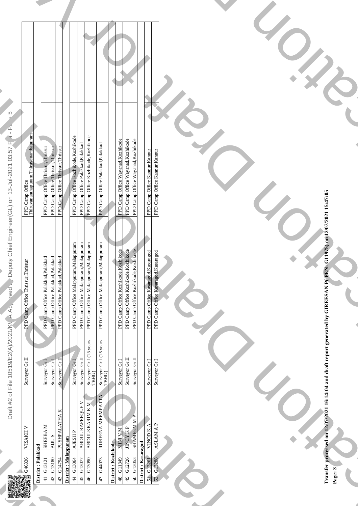| ר |
|---|
|   |
|   |
|   |

| ———————<br>Turuvananthapuram, Thiruvan<br>PPD Camp Office Thrissur, I<br>PPD Camp Office Torissur, I<br>PPD Camp Office Kozhikod<br>PPD Camp Office Kozhikod<br>PPD Camp Office Kozhikod<br>PPD Camp Office Wayanad,<br>PPD Camp Office Wayanad,<br>PPD C<br><b>Contract Contract Contract</b><br><b>Contract Contract Contract Contract</b><br><b>Service</b><br>$\langle \Delta P_{\rm V} \rangle \sim \Delta P_{\rm V}$ and $\Delta P_{\rm V}$ and $\Delta P_{\rm V}$ and $\Delta P_{\rm V}$ and $\Delta P_{\rm V}$ are composite the characteristic material control in the case of the basis of the case of the basis of the case of the basis of the case<br>$\mathbf{A}$ and $\mathbf{A}$<br>TO.<br><b>Contract Contract Contract</b><br>W<br>File 10519/E2<br>Surveyor Gr.I<br>Surveyor Gr.I<br>Surveyor Gr.I<br>Surveyor Gr.I<br>Surveyor Gr.I<br>Surveyor Gr.I (I<br>Surveyor Gr.I (I<br>Surveyor Gr.I (I<br>Surveyor Gr.I (I<br>Surveyor Gr.I (I<br>Surveyor Gr.I (I<br>Surveyor Gr.I (I<br>Survey<br><b>The Contract</b><br><b>STATE</b><br><b>Contract Contract</b><br><b>ALLAN</b><br>$\mathbb{Z}$ $\mathbb{Z}$ |  |  |
|-------------------------------------------------------------------------------------------------------------------------------------------------------------------------------------------------------------------------------------------------------------------------------------------------------------------------------------------------------------------------------------------------------------------------------------------------------------------------------------------------------------------------------------------------------------------------------------------------------------------------------------------------------------------------------------------------------------------------------------------------------------------------------------------------------------------------------------------------------------------------------------------------------------------------------------------------------------------------------------------------------------------------------------------------------------------------------------------------------------------------------|--|--|
|                                                                                                                                                                                                                                                                                                                                                                                                                                                                                                                                                                                                                                                                                                                                                                                                                                                                                                                                                                                                                                                                                                                               |  |  |
|                                                                                                                                                                                                                                                                                                                                                                                                                                                                                                                                                                                                                                                                                                                                                                                                                                                                                                                                                                                                                                                                                                                               |  |  |
|                                                                                                                                                                                                                                                                                                                                                                                                                                                                                                                                                                                                                                                                                                                                                                                                                                                                                                                                                                                                                                                                                                                               |  |  |
|                                                                                                                                                                                                                                                                                                                                                                                                                                                                                                                                                                                                                                                                                                                                                                                                                                                                                                                                                                                                                                                                                                                               |  |  |
|                                                                                                                                                                                                                                                                                                                                                                                                                                                                                                                                                                                                                                                                                                                                                                                                                                                                                                                                                                                                                                                                                                                               |  |  |
|                                                                                                                                                                                                                                                                                                                                                                                                                                                                                                                                                                                                                                                                                                                                                                                                                                                                                                                                                                                                                                                                                                                               |  |  |
|                                                                                                                                                                                                                                                                                                                                                                                                                                                                                                                                                                                                                                                                                                                                                                                                                                                                                                                                                                                                                                                                                                                               |  |  |